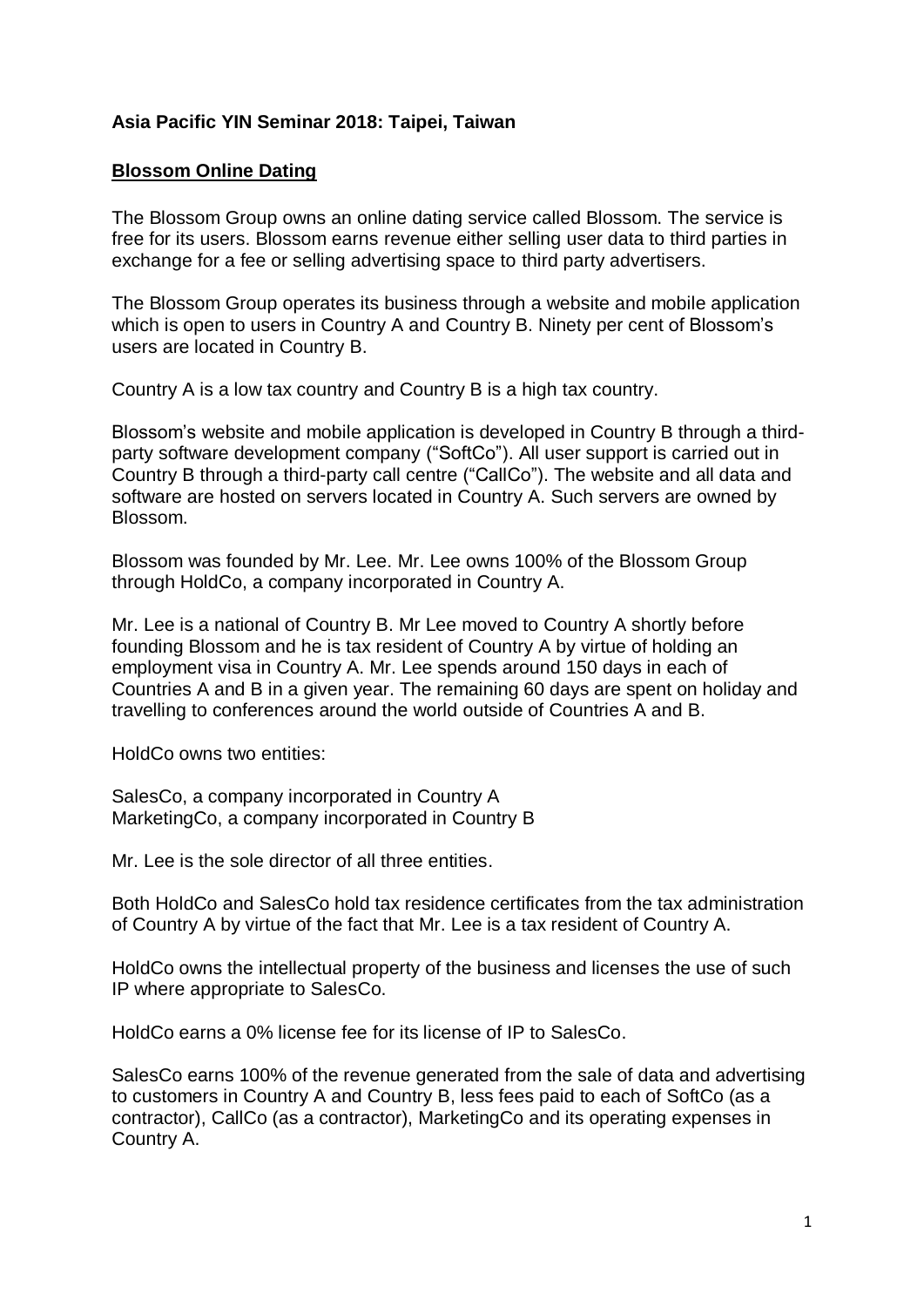#### **Asia Pacific YIN Seminar 2018: Taipei, Taiwan**

#### **Blossom Online Dating**

The Blossom Group owns an online dating service called Blossom. The service is free for its users. Blossom earns revenue either selling user data to third parties in exchange for a fee or selling advertising space to third party advertisers.

The Blossom Group operates its business through a website and mobile application which is open to users in Country A and Country B. Ninety per cent of Blossom's users are located in Country B.

Country A is a low tax country and Country B is a high tax country.

Blossom's website and mobile application is developed in Country B through a thirdparty software development company ("SoftCo"). All user support is carried out in Country B through a third-party call centre ("CallCo"). The website and all data and software are hosted on servers located in Country A. Such servers are owned by Blossom.

Blossom was founded by Mr. Lee. Mr. Lee owns 100% of the Blossom Group through HoldCo, a company incorporated in Country A.

Mr. Lee is a national of Country B. Mr Lee moved to Country A shortly before founding Blossom and he is tax resident of Country A by virtue of holding an employment visa in Country A. Mr. Lee spends around 150 days in each of Countries A and B in a given year. The remaining 60 days are spent on holiday and travelling to conferences around the world outside of Countries A and B.

HoldCo owns two entities:

SalesCo, a company incorporated in Country A MarketingCo, a company incorporated in Country B

Mr. Lee is the sole director of all three entities.

Both HoldCo and SalesCo hold tax residence certificates from the tax administration of Country A by virtue of the fact that Mr. Lee is a tax resident of Country A.

HoldCo owns the intellectual property of the business and licenses the use of such IP where appropriate to SalesCo.

HoldCo earns a 0% license fee for its license of IP to SalesCo.

SalesCo earns 100% of the revenue generated from the sale of data and advertising to customers in Country A and Country B, less fees paid to each of SoftCo (as a contractor), CallCo (as a contractor), MarketingCo and its operating expenses in Country A.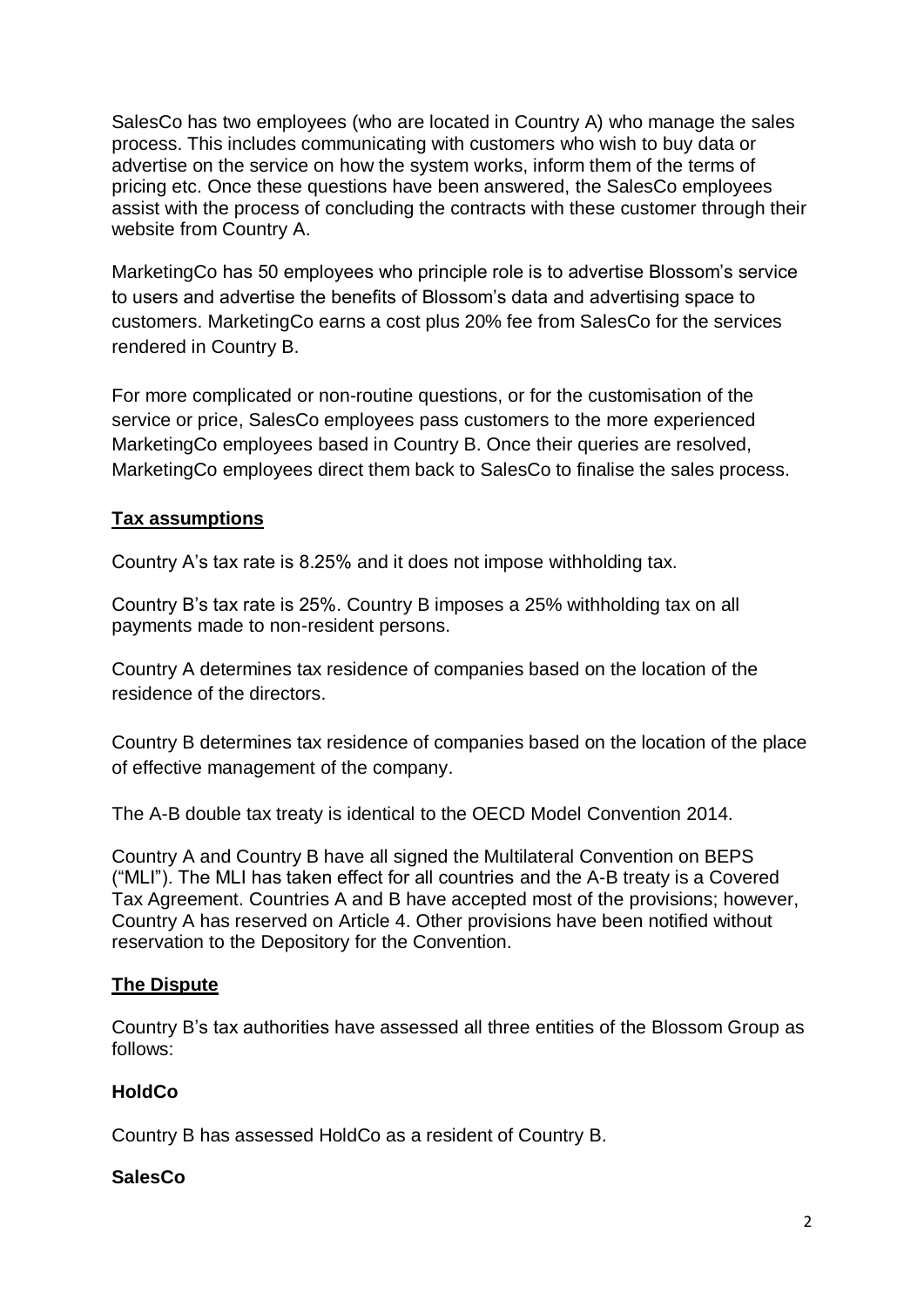SalesCo has two employees (who are located in Country A) who manage the sales process. This includes communicating with customers who wish to buy data or advertise on the service on how the system works, inform them of the terms of pricing etc. Once these questions have been answered, the SalesCo employees assist with the process of concluding the contracts with these customer through their website from Country A.

MarketingCo has 50 employees who principle role is to advertise Blossom's service to users and advertise the benefits of Blossom's data and advertising space to customers. MarketingCo earns a cost plus 20% fee from SalesCo for the services rendered in Country B.

For more complicated or non-routine questions, or for the customisation of the service or price, SalesCo employees pass customers to the more experienced MarketingCo employees based in Country B. Once their queries are resolved, MarketingCo employees direct them back to SalesCo to finalise the sales process.

# **Tax assumptions**

Country A's tax rate is 8.25% and it does not impose withholding tax.

Country B's tax rate is 25%. Country B imposes a 25% withholding tax on all payments made to non-resident persons.

Country A determines tax residence of companies based on the location of the residence of the directors.

Country B determines tax residence of companies based on the location of the place of effective management of the company.

The A-B double tax treaty is identical to the OECD Model Convention 2014.

Country A and Country B have all signed the Multilateral Convention on BEPS ("MLI"). The MLI has taken effect for all countries and the A-B treaty is a Covered Tax Agreement. Countries A and B have accepted most of the provisions; however, Country A has reserved on Article 4. Other provisions have been notified without reservation to the Depository for the Convention.

## **The Dispute**

Country B's tax authorities have assessed all three entities of the Blossom Group as follows:

## **HoldCo**

Country B has assessed HoldCo as a resident of Country B.

# **SalesCo**